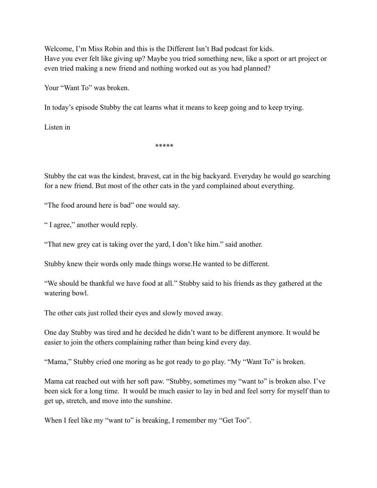Welcome, I'm Miss Robin and this is the Different Isn't Bad podcast for kids. Have you ever felt like giving up? Maybe you tried something new, like a sport or art project or even tried making a new friend and nothing worked out as you had planned?

Your "Want To" was broken.

In today's episode Stubby the cat learns what it means to keep going and to keep trying.

Listen in

\*\*\*\*\*

Stubby the cat was the kindest, bravest, cat in the big backyard. Everyday he would go searching for a new friend. But most of the other cats in the yard complained about everything.

"The food around here is bad" one would say.

" I agree," another would reply.

"That new grey cat is taking over the yard, I don't like him." said another.

Stubby knew their words only made things worse.He wanted to be different.

"We should be thankful we have food at all." Stubby said to his friends as they gathered at the watering bowl.

The other cats just rolled their eyes and slowly moved away.

One day Stubby was tired and he decided he didn't want to be different anymore. It would be easier to join the others complaining rather than being kind every day.

"Mama," Stubby cried one moring as he got ready to go play. "My "Want To" is broken.

Mama cat reached out with her soft paw. "Stubby, sometimes my "want to" is broken also. I've been sick for a long time. It would be much easier to lay in bed and feel sorry for myself than to get up, stretch, and move into the sunshine.

When I feel like my "want to" is breaking, I remember my "Get Too".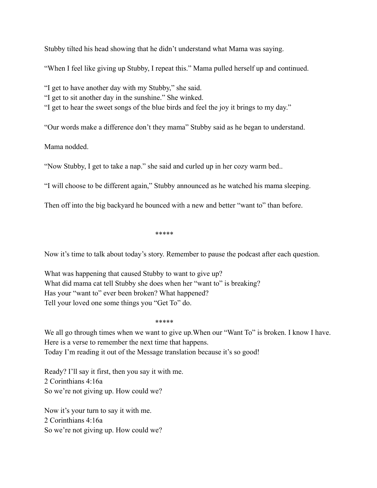Stubby tilted his head showing that he didn't understand what Mama was saying.

"When I feel like giving up Stubby, I repeat this." Mama pulled herself up and continued.

"I get to have another day with my Stubby," she said.

"I get to sit another day in the sunshine." She winked.

"I get to hear the sweet songs of the blue birds and feel the joy it brings to my day."

"Our words make a difference don't they mama" Stubby said as he began to understand.

Mama nodded.

"Now Stubby, I get to take a nap." she said and curled up in her cozy warm bed..

"I will choose to be different again," Stubby announced as he watched his mama sleeping.

Then off into the big backyard he bounced with a new and better "want to" than before.

\*\*\*\*\*

Now it's time to talk about today's story. Remember to pause the podcast after each question.

What was happening that caused Stubby to want to give up? What did mama cat tell Stubby she does when her "want to" is breaking? Has your "want to" ever been broken? What happened? Tell your loved one some things you "Get To" do.

\*\*\*\*\*

We all go through times when we want to give up. When our "Want To" is broken. I know I have. Here is a verse to remember the next time that happens. Today I'm reading it out of the Message translation because it's so good!

Ready? I'll say it first, then you say it with me. 2 Corinthians 4:16a So we're not giving up. How could we?

Now it's your turn to say it with me. 2 Corinthians 4:16a So we're not giving up. How could we?